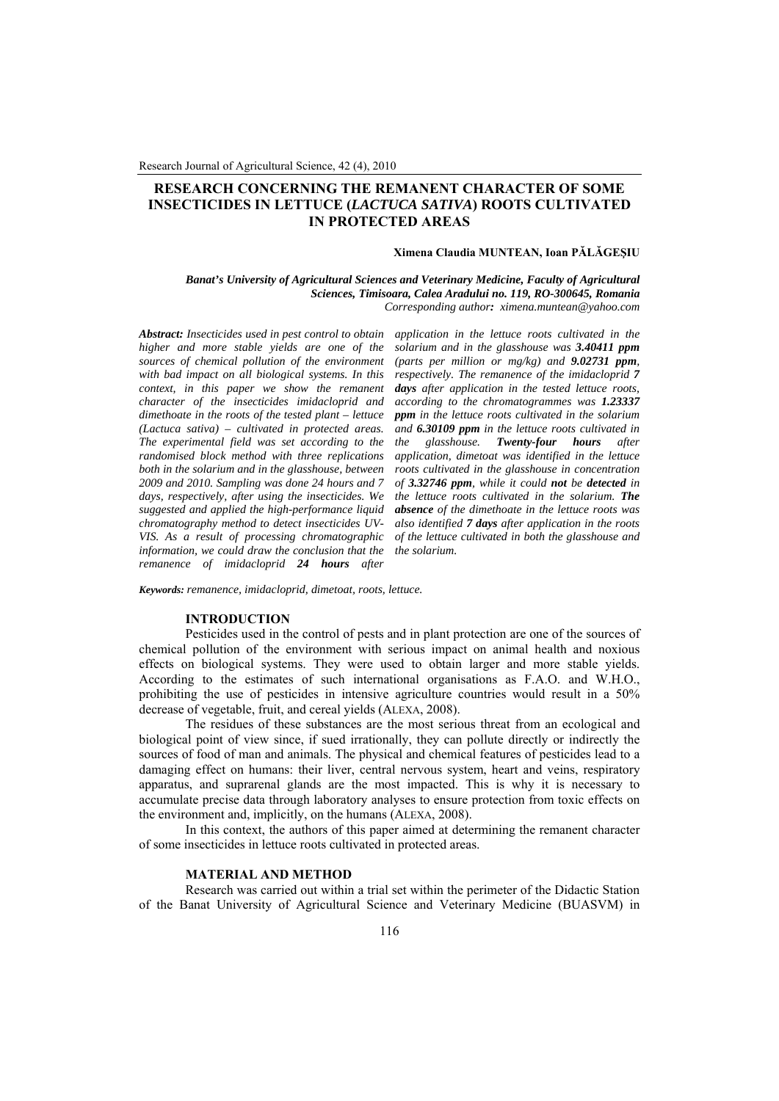# **RESEARCH CONCERNING THE REMANENT CHARACTER OF SOME INSECTICIDES IN LETTUCE (***LACTUCA SATIVA***) ROOTS CULTIVATED IN PROTECTED AREAS**

### **Ximena Claudia MUNTEAN, Ioan PĂLĂGEŞIU**

*Banat's University of Agricultural Sciences and Veterinary Medicine, Faculty of Agricultural Sciences, Timisoara, Calea Aradului no. 119, RO-300645, Romania Corresponding author: ximena.muntean@yahoo.com*

*Abstract: Insecticides used in pest control to obtain higher and more stable yields are one of the sources of chemical pollution of the environment with bad impact on all biological systems. In this context, in this paper we show the remanent character of the insecticides imidacloprid and dimethoate in the roots of the tested plant – lettuce (Lactuca sativa) – cultivated in protected areas. The experimental field was set according to the randomised block method with three replications both in the solarium and in the glasshouse, between 2009 and 2010. Sampling was done 24 hours and 7 days, respectively, after using the insecticides. We suggested and applied the high-performance liquid chromatography method to detect insecticides UV-VIS. As a result of processing chromatographic information, we could draw the conclusion that the remanence of imidacloprid 24 hours after* 

*application in the lettuce roots cultivated in the solarium and in the glasshouse was 3.40411 ppm (parts per million or mg/kg) and 9.02731 ppm, respectively. The remanence of the imidacloprid 7 days after application in the tested lettuce roots, according to the chromatogrammes was 1.23337 ppm in the lettuce roots cultivated in the solarium and 6.30109 ppm in the lettuce roots cultivated in the glasshouse. Twenty-four hours after application, dimetoat was identified in the lettuce roots cultivated in the glasshouse in concentration of 3.32746 ppm, while it could not be detected in the lettuce roots cultivated in the solarium. The absence of the dimethoate in the lettuce roots was also identified 7 days after application in the roots of the lettuce cultivated in both the glasshouse and the solarium.*

*Keywords: remanence, imidacloprid, dimetoat, roots, lettuce.*

### **INTRODUCTION**

Pesticides used in the control of pests and in plant protection are one of the sources of chemical pollution of the environment with serious impact on animal health and noxious effects on biological systems. They were used to obtain larger and more stable yields. According to the estimates of such international organisations as F.A.O. and W.H.O., prohibiting the use of pesticides in intensive agriculture countries would result in a 50% decrease of vegetable, fruit, and cereal yields (ALEXA, 2008).

The residues of these substances are the most serious threat from an ecological and biological point of view since, if sued irrationally, they can pollute directly or indirectly the sources of food of man and animals. The physical and chemical features of pesticides lead to a damaging effect on humans: their liver, central nervous system, heart and veins, respiratory apparatus, and suprarenal glands are the most impacted. This is why it is necessary to accumulate precise data through laboratory analyses to ensure protection from toxic effects on the environment and, implicitly, on the humans (ALEXA, 2008).

In this context, the authors of this paper aimed at determining the remanent character of some insecticides in lettuce roots cultivated in protected areas.

### **MATERIAL AND METHOD**

Research was carried out within a trial set within the perimeter of the Didactic Station of the Banat University of Agricultural Science and Veterinary Medicine (BUASVM) in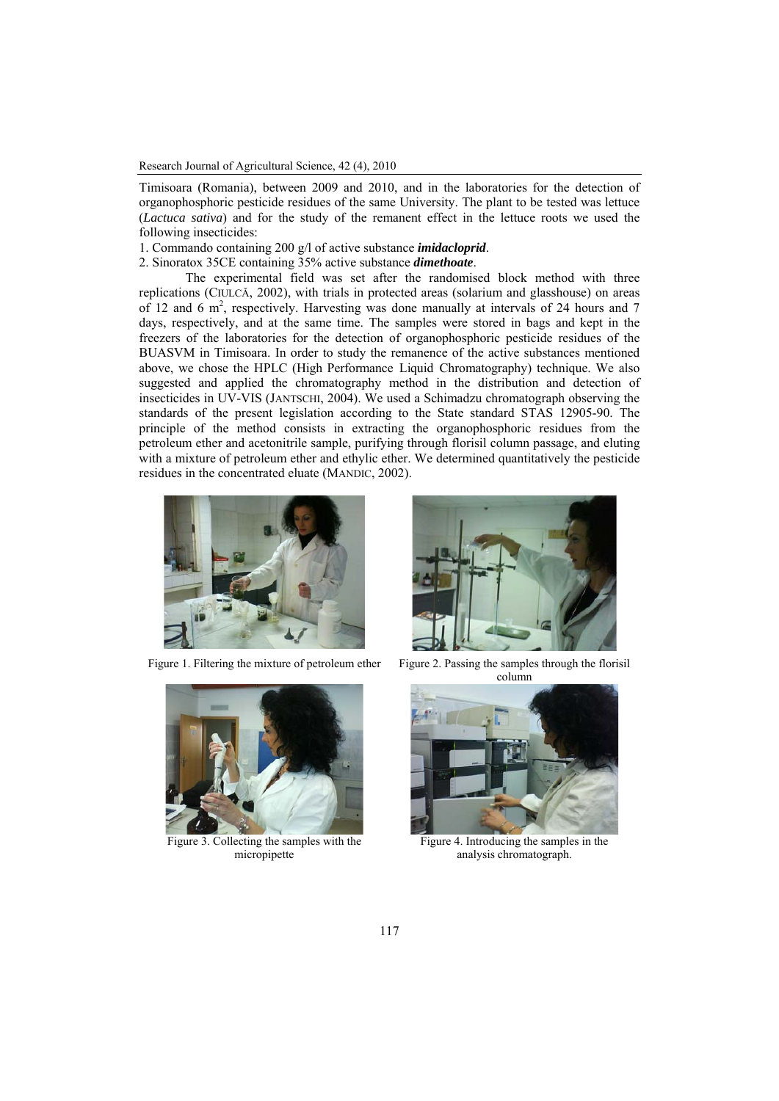Research Journal of Agricultural Science, 42 (4), 2010

Timisoara (Romania), between 2009 and 2010, and in the laboratories for the detection of organophosphoric pesticide residues of the same University. The plant to be tested was lettuce (*Lactuca sativa*) and for the study of the remanent effect in the lettuce roots we used the following insecticides:

1. Commando containing 200 g/l of active substance *imidacloprid*.

2. Sinoratox 35CE containing 35% active substance *dimethoate*.

The experimental field was set after the randomised block method with three replications (CIULCĂ, 2002), with trials in protected areas (solarium and glasshouse) on areas of 12 and 6 m<sup>2</sup>, respectively. Harvesting was done manually at intervals of 24 hours and 7 days, respectively, and at the same time. The samples were stored in bags and kept in the freezers of the laboratories for the detection of organophosphoric pesticide residues of the BUASVM in Timisoara. In order to study the remanence of the active substances mentioned above, we chose the HPLC (High Performance Liquid Chromatography) technique. We also suggested and applied the chromatography method in the distribution and detection of insecticides in UV-VIS (JANTSCHI, 2004). We used a Schimadzu chromatograph observing the standards of the present legislation according to the State standard STAS 12905-90. The principle of the method consists in extracting the organophosphoric residues from the petroleum ether and acetonitrile sample, purifying through florisil column passage, and eluting with a mixture of petroleum ether and ethylic ether. We determined quantitatively the pesticide residues in the concentrated eluate (MANDIC, 2002).



Figure 1. Filtering the mixture of petroleum ether Figure 2. Passing the samples through the florisil



column



Figure 3. Collecting the samples with the micropipette



Figure 4. Introducing the samples in the analysis chromatograph.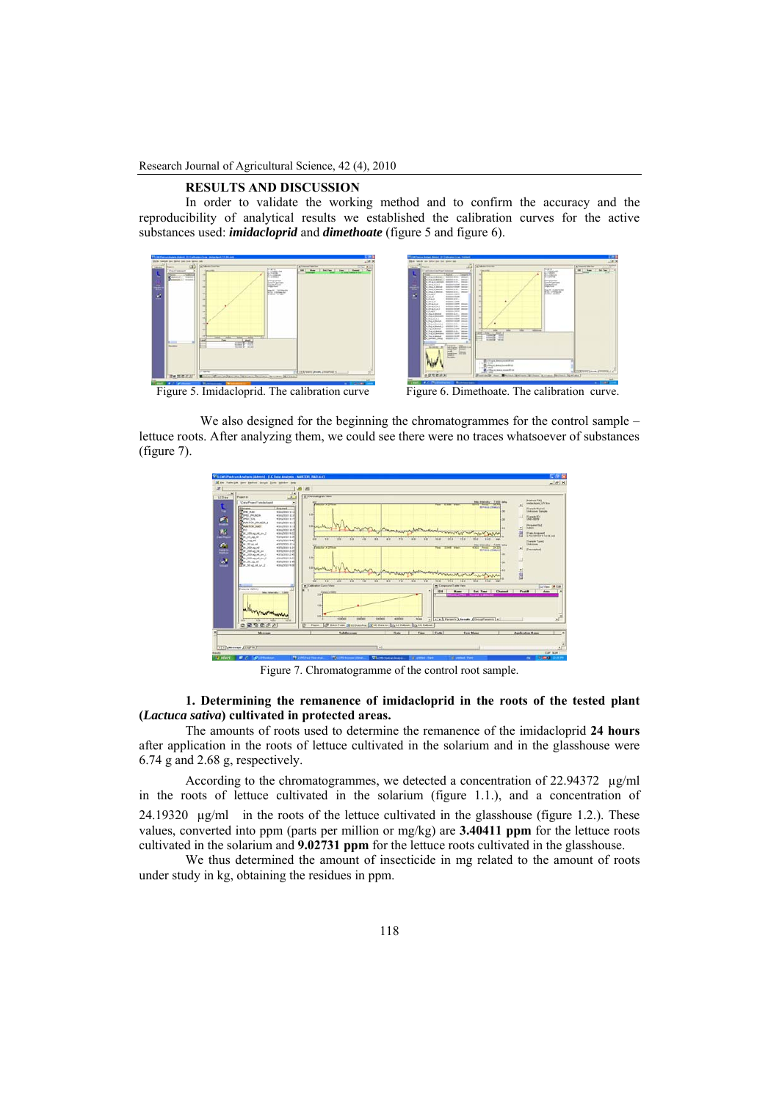Research Journal of Agricultural Science, 42 (4), 2010

# **RESULTS AND DISCUSSION**

In order to validate the working method and to confirm the accuracy and the reproducibility of analytical results we established the calibration curves for the active substances used: *imidacloprid* and *dimethoate* (figure 5 and figure 6).





Figure 5. Imidacloprid. The calibration curve Figure 6. Dimethoate. The calibration curve.

We also designed for the beginning the chromatogrammes for the control sample – lettuce roots. After analyzing them, we could see there were no traces whatsoever of substances (figure 7).



Figure 7. Chromatogramme of the control root sample.

**1. Determining the remanence of imidacloprid in the roots of the tested plant (***Lactuca sativa***) cultivated in protected areas.** 

The amounts of roots used to determine the remanence of the imidacloprid **24 hours** after application in the roots of lettuce cultivated in the solarium and in the glasshouse were 6.74 g and 2.68 g, respectively.

According to the chromatogrammes, we detected a concentration of 22.94372 µg/ml in the roots of lettuce cultivated in the solarium (figure 1.1.), and a concentration of 24.19320 µg/ml in the roots of the lettuce cultivated in the glasshouse (figure 1.2.). These values, converted into ppm (parts per million or mg/kg) are **3.40411 ppm** for the lettuce roots cultivated in the solarium and **9.02731 ppm** for the lettuce roots cultivated in the glasshouse.

We thus determined the amount of insecticide in mg related to the amount of roots under study in kg, obtaining the residues in ppm.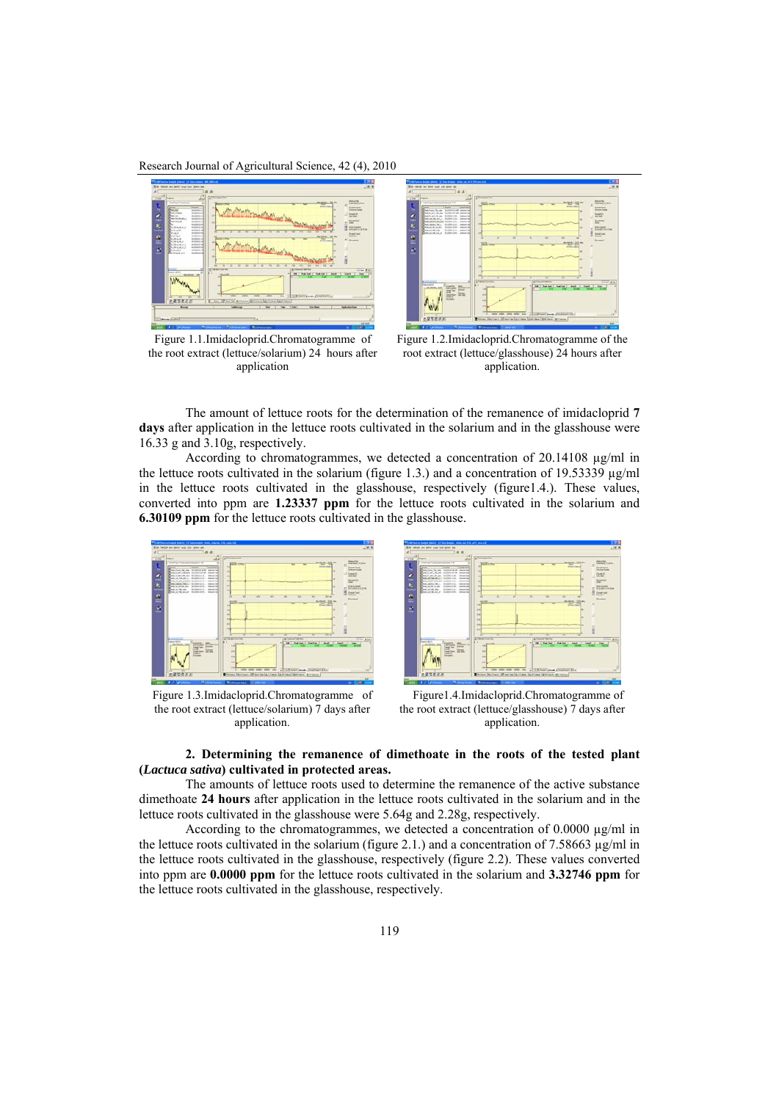Research Journal of Agricultural Science, 42 (4), 2010



Figure 1.1.Imidacloprid.Chromatogramme of the root extract (lettuce/solarium) 24 hours after application



Figure 1.2.Imidacloprid.Chromatogramme of the root extract (lettuce/glasshouse) 24 hours after application.

The amount of lettuce roots for the determination of the remanence of imidacloprid **7**  days after application in the lettuce roots cultivated in the solarium and in the glasshouse were 16.33 g and 3.10g, respectively.

According to chromatogrammes, we detected a concentration of 20.14108 µg/ml in the lettuce roots cultivated in the solarium (figure 1.3.) and a concentration of 19.53339  $\mu$ g/ml in the lettuce roots cultivated in the glasshouse, respectively (figure1.4.). These values, converted into ppm are **1.23337 ppm** for the lettuce roots cultivated in the solarium and **6.30109 ppm** for the lettuce roots cultivated in the glasshouse.



Figure 1.3.Imidacloprid.Chromatogramme of the root extract (lettuce/solarium) 7 days after application.



 Figure1.4.Imidacloprid.Chromatogramme of the root extract (lettuce/glasshouse) 7 days after application.

## **2. Determining the remanence of dimethoate in the roots of the tested plant (***Lactuca sativa***) cultivated in protected areas.**

The amounts of lettuce roots used to determine the remanence of the active substance dimethoate **24 hours** after application in the lettuce roots cultivated in the solarium and in the lettuce roots cultivated in the glasshouse were 5.64g and 2.28g, respectively.

According to the chromatogrammes, we detected a concentration of 0.0000  $\mu$ g/ml in the lettuce roots cultivated in the solarium (figure 2.1.) and a concentration of 7.58663  $\mu$ g/ml in the lettuce roots cultivated in the glasshouse, respectively (figure 2.2). These values converted into ppm are **0.0000 ppm** for the lettuce roots cultivated in the solarium and **3.32746 ppm** for the lettuce roots cultivated in the glasshouse, respectively.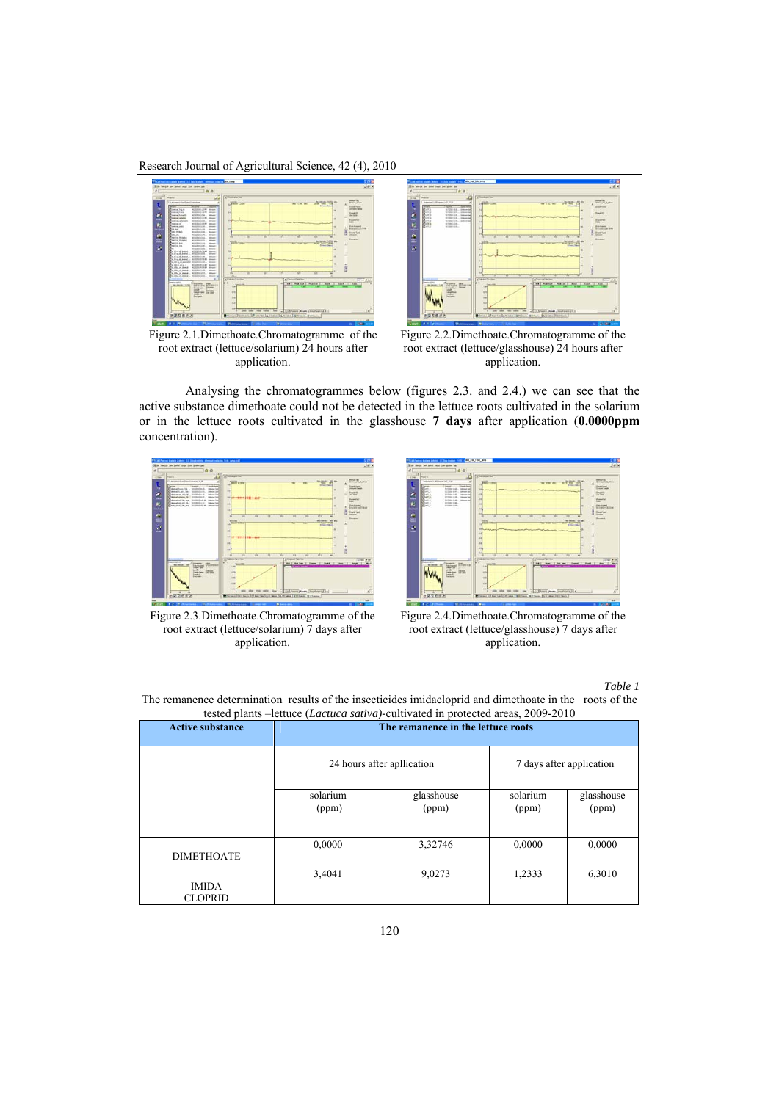Research Journal of Agricultural Science, 42 (4), 2010



Figure 2.1.Dimethoate.Chromatogramme of the root extract (lettuce/solarium) 24 hours after application.



Figure 2.2.Dimethoate.Chromatogramme of the root extract (lettuce/glasshouse) 24 hours after application.

Analysing the chromatogrammes below (figures 2.3. and 2.4.) we can see that the active substance dimethoate could not be detected in the lettuce roots cultivated in the solarium or in the lettuce roots cultivated in the glasshouse **7 days** after application (**0.0000ppm** concentration).





Figure 2.3.Dimethoate.Chromatogramme of the root extract (lettuce/solarium) 7 days after application.

Figure 2.4.Dimethoate.Chromatogramme of the root extract (lettuce/glasshouse) 7 days after application.

*Table 1* 

```
The remanence determination results of the insecticides imidacloprid and dimethoate in the roots of the 
      tested plants –lettuce (Lactuca sativa)-cultivated in protected areas, 2009-2010 
Active substance The remanence in the lettuce roots
```

| <b>Active substance</b>        | The remanence in the lettuce roots |                     |                          |                     |
|--------------------------------|------------------------------------|---------------------|--------------------------|---------------------|
|                                | 24 hours after apllication         |                     | 7 days after application |                     |
|                                | solarium<br>(ppm)                  | glasshouse<br>(ppm) | solarium<br>(ppm)        | glasshouse<br>(ppm) |
| <b>DIMETHOATE</b>              | 0,0000                             | 3,32746             | 0,0000                   | 0,0000              |
| <b>IMIDA</b><br><b>CLOPRID</b> | 3,4041                             | 9,0273              | 1,2333                   | 6,3010              |